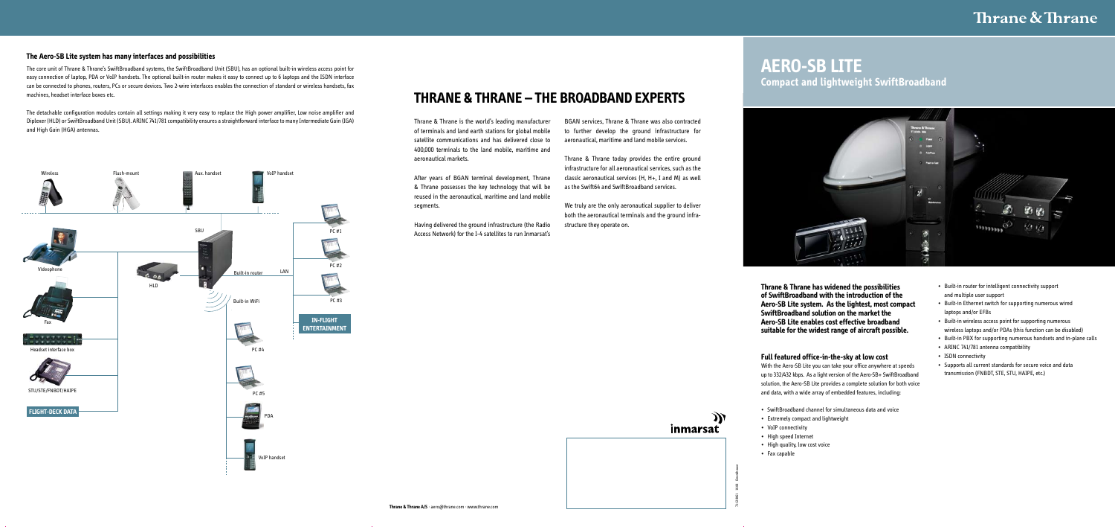- Built-in router for intelligent connectivity support and multiple user support
- • Built-in Ethernet switch for supporting numerous wired laptops and/or EFBs
- Built-in wireless access point for supporting numerous wireless laptops and/or PDAs (this function can be disabled)
- Built-in PBX for supporting numerous handsets and in-plane calls
- ARINC 741/781 antenna compatibility
- ISDN connectivity
- • Supports all current standards for secure voice and data transmission (FNBDT, STE, STU, HAIPE, etc.)

Ж inmarsat

**Thrane & Thrane has widened the possibilities of SwiftBroadband with the introduction of the Aero-SB Lite system. As the lightest, most compact SwiftBroadband solution on the market the Aero-SB Lite enables cost effective broadband suitable for the widest range of aircraft possible.** 

#### **Full featured office-in-the-sky at low cost**

With the Aero-SB Lite you can take your office anywhere at speeds up to 332/432 kbps. As a light version of the Aero-SB+ SwiftBroadband solution, the Aero-SB Lite provides a complete solution for both voice and data, with a wide array of embedded features, including:

- • SwiftBroadband channel for simultaneous data and voice
- • Extremely compact and lightweight
- VoIP connectivity
- • High speed Internet
- High quality, low cost voice
- • Fax capable

The core unit of Thrane & Thrane's SwiftBroadband systems, the SwiftBroadband Unit (SBU), has an optional built-in wireless access point for easy connection of laptop, PDA or VoIP handsets. The optional built-in router makes it easy to connect up to 6 laptops and the ISDN interface can be connected to phones, routers, PCs or secure devices. Two 2-wire interfaces enables the connection of standard or wireless handsets, fax machines, headset interface boxes etc.

The detachable configuration modules contain all settings making it very easy to replace the High power amplifier, Low noise amplifier and Diplexer (HLD) or SwiftBroadband Unit (SBU). ARINC 741/781 compatibility ensures a straightforward interface tomany Intermediate Gain (IGA) and High Gain (HGA) antennas.

#### **The Aero-SB Lite system has many interfaces and possibilities**

71-128061 10.08 Brandhouse



## **AERO-SB LITE Compact and lightweight SwiftBroadband**



## **THRANE & THRANE – THE BROADBAND EXPERTS**

Thrane & Thrane is the world's leading manufacturer of terminals and land earth stations for global mobile satellite communications and has delivered close to 400,000 terminals to the land mobile, maritime and aeronautical markets.

After years of BGAN terminal development, Thrane & Thrane possesses the key technology that will be reused in the aeronautical, maritime and land mobile segments.

Having delivered the ground infrastructure (the Radio Access Network) for the I-4 satellites to run Inmarsat's

BGAN services, Thrane & Thrane was also contracted to further develop the ground infrastructure for aeronautical, maritime and land mobile services.

Thrane & Thrane today provides the entire ground infrastructure for all aeronautical services, such as the classic aeronautical services (H, H+, I and M) as well as the Swift64 and SwiftBroadband services.

We truly are the only aeronautical supplier to deliver both the aeronautical terminals and the ground infrastructure they operate on.

## Thrane & Thrane